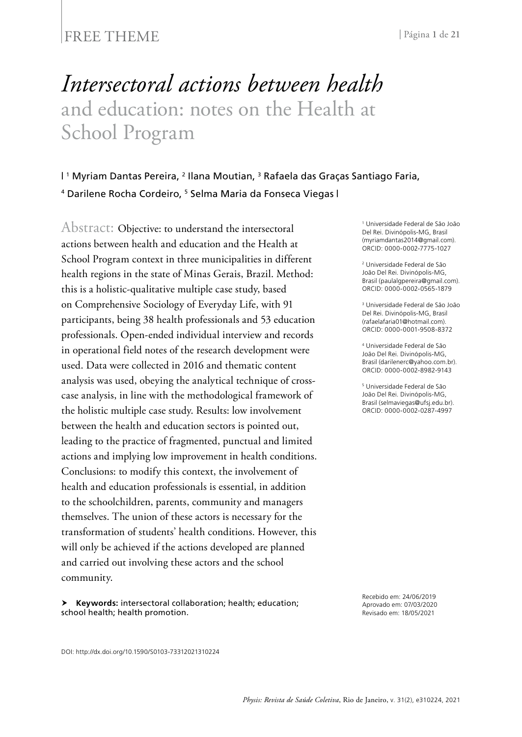#### FREE THEME <sup>|</sup> Página **1** de **<sup>21</sup>**

# *Intersectoral actions between health* and education: notes on the Health at School Program

#### | 1 Myriam Dantas Pereira, 2 Ilana Moutian, 3 Rafaela das Graças Santiago Faria, <sup>4</sup> Darilene Rocha Cordeiro, 5 Selma Maria da Fonseca Viegas |

Abstract: Objective: to understand the intersectoral actions between health and education and the Health at School Program context in three municipalities in different health regions in the state of Minas Gerais, Brazil. Method: this is a holistic-qualitative multiple case study, based on Comprehensive Sociology of Everyday Life, with 91 participants, being 38 health professionals and 53 education professionals. Open-ended individual interview and records in operational field notes of the research development were used. Data were collected in 2016 and thematic content analysis was used, obeying the analytical technique of crosscase analysis, in line with the methodological framework of the holistic multiple case study. Results: low involvement between the health and education sectors is pointed out, leading to the practice of fragmented, punctual and limited actions and implying low improvement in health conditions. Conclusions: to modify this context, the involvement of health and education professionals is essential, in addition to the schoolchildren, parents, community and managers themselves. The union of these actors is necessary for the transformation of students' health conditions. However, this will only be achieved if the actions developed are planned and carried out involving these actors and the school community.

 **Keywords:** intersectoral collaboration; health; education; school health; health promotion.

1 Universidade Federal de São João Del Rei. Divinópolis-MG, Brasil (myriamdantas2014@gmail.com). ORCID: 0000-0002-7775-1027

2 Universidade Federal de São João Del Rei. Divinópolis-MG, Brasil (paulalgpereira@gmail.com). ORCID: 0000-0002-0565-1879

3 Universidade Federal de São João Del Rei. Divinópolis-MG, Brasil (rafaelafaria01@hotmail.com). ORCID: 0000-0001-9508-8372

4 Universidade Federal de São João Del Rei. Divinópolis-MG, Brasil (darilenerc@yahoo.com.br). ORCID: 0000-0002-8982-9143

5 Universidade Federal de São João Del Rei. Divinópolis-MG, Brasil (selmaviegas@ufsj.edu.br). ORCID: 0000-0002-0287-4997

Recebido em: 24/06/2019 Aprovado em: 07/03/2020 Revisado em: 18/05/2021

DOI: http://dx.doi.org/10.1590/S0103-73312021310224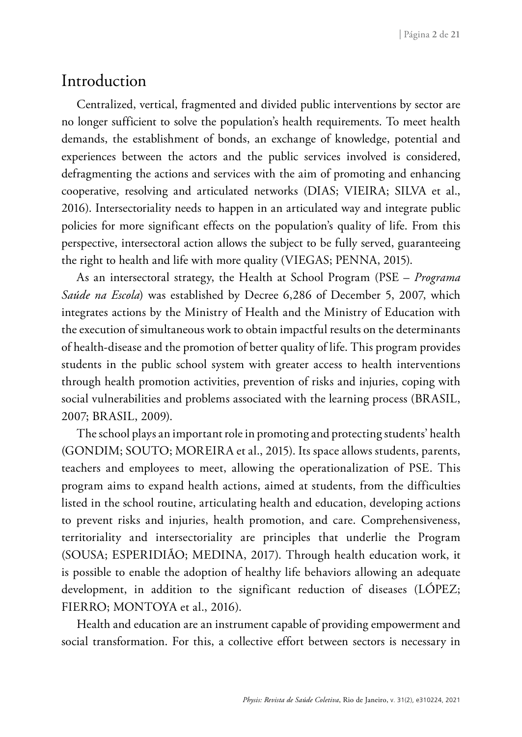### Introduction

Centralized, vertical, fragmented and divided public interventions by sector are no longer sufficient to solve the population's health requirements. To meet health demands, the establishment of bonds, an exchange of knowledge, potential and experiences between the actors and the public services involved is considered, defragmenting the actions and services with the aim of promoting and enhancing cooperative, resolving and articulated networks (DIAS; VIEIRA; SILVA et al., 2016). Intersectoriality needs to happen in an articulated way and integrate public policies for more significant effects on the population's quality of life. From this perspective, intersectoral action allows the subject to be fully served, guaranteeing the right to health and life with more quality (VIEGAS; PENNA, 2015).

As an intersectoral strategy, the Health at School Program (PSE – *Programa Saúde na Escola*) was established by Decree 6,286 of December 5, 2007, which integrates actions by the Ministry of Health and the Ministry of Education with the execution of simultaneous work to obtain impactful results on the determinants of health-disease and the promotion of better quality of life. This program provides students in the public school system with greater access to health interventions through health promotion activities, prevention of risks and injuries, coping with social vulnerabilities and problems associated with the learning process (BRASIL, 2007; BRASIL, 2009).

The school plays an important role in promoting and protecting students' health (GONDIM; SOUTO; MOREIRA et al., 2015). Its space allows students, parents, teachers and employees to meet, allowing the operationalization of PSE. This program aims to expand health actions, aimed at students, from the difficulties listed in the school routine, articulating health and education, developing actions to prevent risks and injuries, health promotion, and care. Comprehensiveness, territoriality and intersectoriality are principles that underlie the Program (SOUSA; ESPERIDIÃO; MEDINA, 2017). Through health education work, it is possible to enable the adoption of healthy life behaviors allowing an adequate development, in addition to the significant reduction of diseases (LÓPEZ; FIERRO; MONTOYA et al., 2016).

Health and education are an instrument capable of providing empowerment and social transformation. For this, a collective effort between sectors is necessary in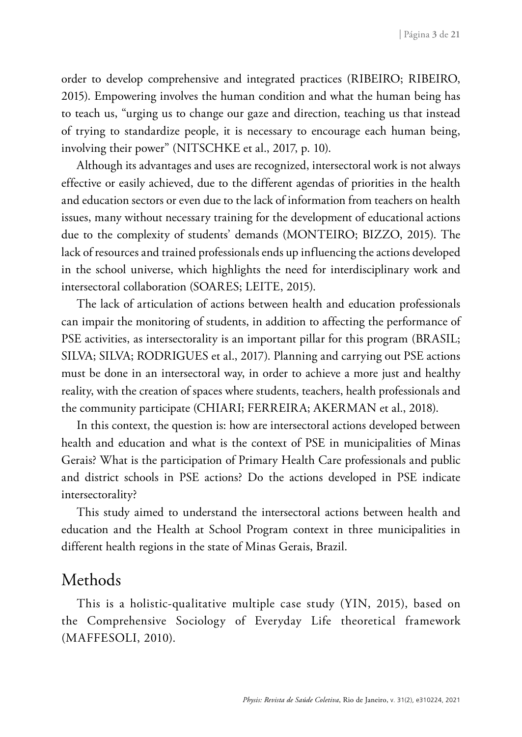order to develop comprehensive and integrated practices (RIBEIRO; RIBEIRO, 2015). Empowering involves the human condition and what the human being has to teach us, "urging us to change our gaze and direction, teaching us that instead of trying to standardize people, it is necessary to encourage each human being, involving their power" (NITSCHKE et al., 2017, p. 10).

Although its advantages and uses are recognized, intersectoral work is not always effective or easily achieved, due to the different agendas of priorities in the health and education sectors or even due to the lack of information from teachers on health issues, many without necessary training for the development of educational actions due to the complexity of students' demands (MONTEIRO; BIZZO, 2015). The lack of resources and trained professionals ends up influencing the actions developed in the school universe, which highlights the need for interdisciplinary work and intersectoral collaboration (SOARES; LEITE, 2015).

The lack of articulation of actions between health and education professionals can impair the monitoring of students, in addition to affecting the performance of PSE activities, as intersectorality is an important pillar for this program (BRASIL; SILVA; SILVA; RODRIGUES et al., 2017). Planning and carrying out PSE actions must be done in an intersectoral way, in order to achieve a more just and healthy reality, with the creation of spaces where students, teachers, health professionals and the community participate (CHIARI; FERREIRA; AKERMAN et al., 2018).

In this context, the question is: how are intersectoral actions developed between health and education and what is the context of PSE in municipalities of Minas Gerais? What is the participation of Primary Health Care professionals and public and district schools in PSE actions? Do the actions developed in PSE indicate intersectorality?

This study aimed to understand the intersectoral actions between health and education and the Health at School Program context in three municipalities in different health regions in the state of Minas Gerais, Brazil.

### Methods

This is a holistic-qualitative multiple case study (YIN, 2015), based on the Comprehensive Sociology of Everyday Life theoretical framework (MAFFESOLI, 2010).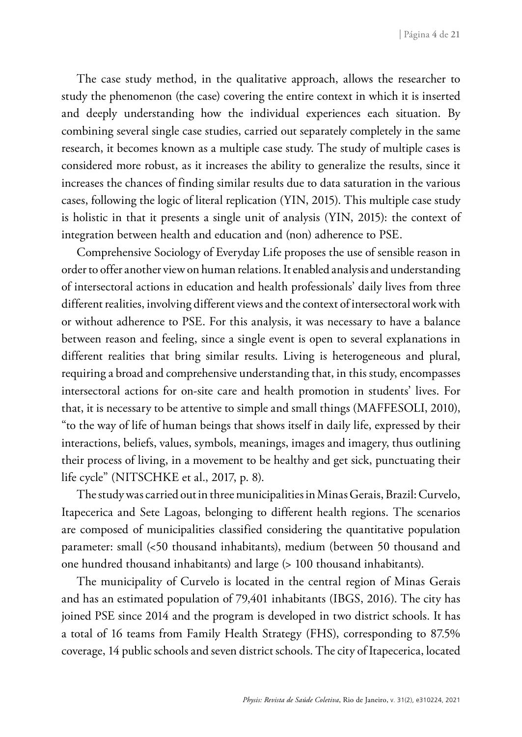The case study method, in the qualitative approach, allows the researcher to study the phenomenon (the case) covering the entire context in which it is inserted and deeply understanding how the individual experiences each situation. By combining several single case studies, carried out separately completely in the same research, it becomes known as a multiple case study. The study of multiple cases is considered more robust, as it increases the ability to generalize the results, since it increases the chances of finding similar results due to data saturation in the various cases, following the logic of literal replication (YIN, 2015). This multiple case study is holistic in that it presents a single unit of analysis (YIN, 2015): the context of integration between health and education and (non) adherence to PSE.

Comprehensive Sociology of Everyday Life proposes the use of sensible reason in order to offer another view on human relations. It enabled analysis and understanding of intersectoral actions in education and health professionals' daily lives from three different realities, involving different views and the context of intersectoral work with or without adherence to PSE. For this analysis, it was necessary to have a balance between reason and feeling, since a single event is open to several explanations in different realities that bring similar results. Living is heterogeneous and plural, requiring a broad and comprehensive understanding that, in this study, encompasses intersectoral actions for on-site care and health promotion in students' lives. For that, it is necessary to be attentive to simple and small things (MAFFESOLI, 2010), "to the way of life of human beings that shows itself in daily life, expressed by their interactions, beliefs, values, symbols, meanings, images and imagery, thus outlining their process of living, in a movement to be healthy and get sick, punctuating their life cycle" (NITSCHKE et al., 2017, p. 8).

The study was carried out in three municipalities in Minas Gerais, Brazil: Curvelo, Itapecerica and Sete Lagoas, belonging to different health regions. The scenarios are composed of municipalities classified considering the quantitative population parameter: small (<50 thousand inhabitants), medium (between 50 thousand and one hundred thousand inhabitants) and large (> 100 thousand inhabitants).

The municipality of Curvelo is located in the central region of Minas Gerais and has an estimated population of 79,401 inhabitants (IBGS, 2016). The city has joined PSE since 2014 and the program is developed in two district schools. It has a total of 16 teams from Family Health Strategy (FHS), corresponding to 87.5% coverage, 14 public schools and seven district schools. The city of Itapecerica, located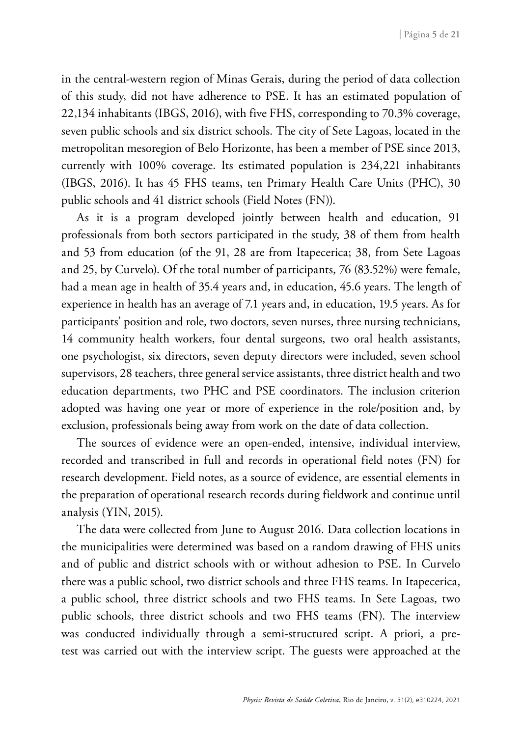in the central-western region of Minas Gerais, during the period of data collection of this study, did not have adherence to PSE. It has an estimated population of 22,134 inhabitants (IBGS, 2016), with five FHS, corresponding to 70.3% coverage, seven public schools and six district schools. The city of Sete Lagoas, located in the metropolitan mesoregion of Belo Horizonte, has been a member of PSE since 2013, currently with 100% coverage. Its estimated population is 234,221 inhabitants (IBGS, 2016). It has 45 FHS teams, ten Primary Health Care Units (PHC), 30 public schools and 41 district schools (Field Notes (FN)).

As it is a program developed jointly between health and education, 91 professionals from both sectors participated in the study, 38 of them from health and 53 from education (of the 91, 28 are from Itapecerica; 38, from Sete Lagoas and 25, by Curvelo). Of the total number of participants, 76 (83.52%) were female, had a mean age in health of 35.4 years and, in education, 45.6 years. The length of experience in health has an average of 7.1 years and, in education, 19.5 years. As for participants' position and role, two doctors, seven nurses, three nursing technicians, 14 community health workers, four dental surgeons, two oral health assistants, one psychologist, six directors, seven deputy directors were included, seven school supervisors, 28 teachers, three general service assistants, three district health and two education departments, two PHC and PSE coordinators. The inclusion criterion adopted was having one year or more of experience in the role/position and, by exclusion, professionals being away from work on the date of data collection.

The sources of evidence were an open-ended, intensive, individual interview, recorded and transcribed in full and records in operational field notes (FN) for research development. Field notes, as a source of evidence, are essential elements in the preparation of operational research records during fieldwork and continue until analysis (YIN, 2015).

The data were collected from June to August 2016. Data collection locations in the municipalities were determined was based on a random drawing of FHS units and of public and district schools with or without adhesion to PSE. In Curvelo there was a public school, two district schools and three FHS teams. In Itapecerica, a public school, three district schools and two FHS teams. In Sete Lagoas, two public schools, three district schools and two FHS teams (FN). The interview was conducted individually through a semi-structured script. A priori, a pretest was carried out with the interview script. The guests were approached at the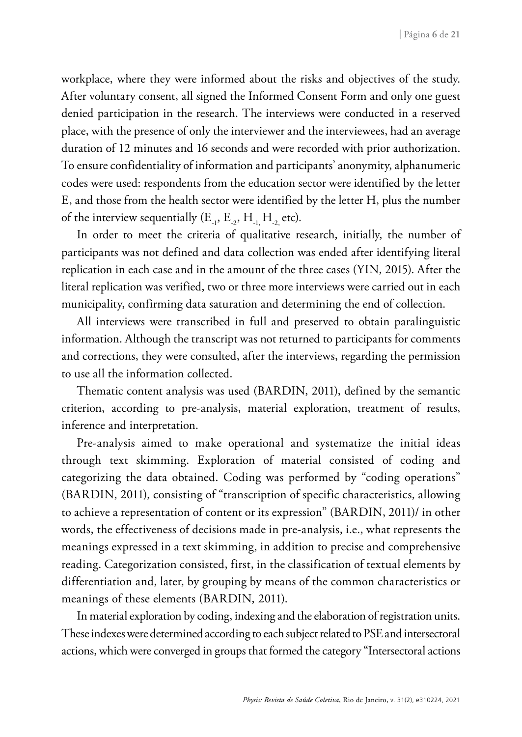workplace, where they were informed about the risks and objectives of the study. After voluntary consent, all signed the Informed Consent Form and only one guest denied participation in the research. The interviews were conducted in a reserved place, with the presence of only the interviewer and the interviewees, had an average duration of 12 minutes and 16 seconds and were recorded with prior authorization. To ensure confidentiality of information and participants' anonymity, alphanumeric codes were used: respondents from the education sector were identified by the letter E, and those from the health sector were identified by the letter H, plus the number of the interview sequentially  $(E_1, E_2, H_1, H_2,$  etc).

In order to meet the criteria of qualitative research, initially, the number of participants was not defined and data collection was ended after identifying literal replication in each case and in the amount of the three cases (YIN, 2015). After the literal replication was verified, two or three more interviews were carried out in each municipality, confirming data saturation and determining the end of collection.

All interviews were transcribed in full and preserved to obtain paralinguistic information. Although the transcript was not returned to participants for comments and corrections, they were consulted, after the interviews, regarding the permission to use all the information collected.

Thematic content analysis was used (BARDIN, 2011), defined by the semantic criterion, according to pre-analysis, material exploration, treatment of results, inference and interpretation.

Pre-analysis aimed to make operational and systematize the initial ideas through text skimming. Exploration of material consisted of coding and categorizing the data obtained. Coding was performed by "coding operations" (BARDIN, 2011), consisting of "transcription of specific characteristics, allowing to achieve a representation of content or its expression" (BARDIN, 2011)/ in other words, the effectiveness of decisions made in pre-analysis, i.e., what represents the meanings expressed in a text skimming, in addition to precise and comprehensive reading. Categorization consisted, first, in the classification of textual elements by differentiation and, later, by grouping by means of the common characteristics or meanings of these elements (BARDIN, 2011).

In material exploration by coding, indexing and the elaboration of registration units. These indexes were determined according to each subject related to PSE and intersectoral actions, which were converged in groups that formed the category "Intersectoral actions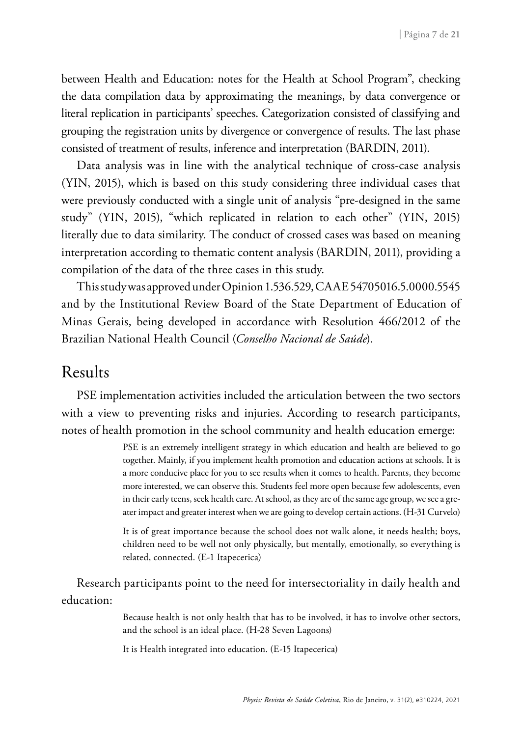between Health and Education: notes for the Health at School Program", checking the data compilation data by approximating the meanings, by data convergence or literal replication in participants' speeches. Categorization consisted of classifying and grouping the registration units by divergence or convergence of results. The last phase consisted of treatment of results, inference and interpretation (BARDIN, 2011).

Data analysis was in line with the analytical technique of cross-case analysis (YIN, 2015), which is based on this study considering three individual cases that were previously conducted with a single unit of analysis "pre-designed in the same study" (YIN, 2015), "which replicated in relation to each other" (YIN, 2015) literally due to data similarity. The conduct of crossed cases was based on meaning interpretation according to thematic content analysis (BARDIN, 2011), providing a compilation of the data of the three cases in this study.

This study was approved under Opinion 1.536.529, CAAE 54705016.5.0000.5545 and by the Institutional Review Board of the State Department of Education of Minas Gerais, being developed in accordance with Resolution 466/2012 of the Brazilian National Health Council (*Conselho Nacional de Saúde*).

#### Results

PSE implementation activities included the articulation between the two sectors with a view to preventing risks and injuries. According to research participants, notes of health promotion in the school community and health education emerge:

> PSE is an extremely intelligent strategy in which education and health are believed to go together. Mainly, if you implement health promotion and education actions at schools. It is a more conducive place for you to see results when it comes to health. Parents, they become more interested, we can observe this. Students feel more open because few adolescents, even in their early teens, seek health care. At school, as they are of the same age group, we see a greater impact and greater interest when we are going to develop certain actions. (H-31 Curvelo)

> It is of great importance because the school does not walk alone, it needs health; boys, children need to be well not only physically, but mentally, emotionally, so everything is related, connected. (E-1 Itapecerica)

Research participants point to the need for intersectoriality in daily health and education:

> Because health is not only health that has to be involved, it has to involve other sectors, and the school is an ideal place. (H-28 Seven Lagoons)

It is Health integrated into education. (E-15 Itapecerica)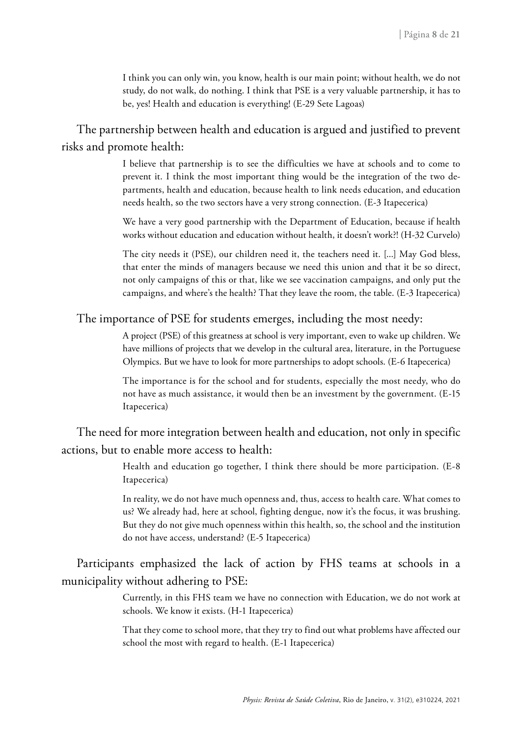I think you can only win, you know, health is our main point; without health, we do not study, do not walk, do nothing. I think that PSE is a very valuable partnership, it has to be, yes! Health and education is everything! (E-29 Sete Lagoas)

The partnership between health and education is argued and justified to prevent risks and promote health:

> I believe that partnership is to see the difficulties we have at schools and to come to prevent it. I think the most important thing would be the integration of the two departments, health and education, because health to link needs education, and education needs health, so the two sectors have a very strong connection. (E-3 Itapecerica)

> We have a very good partnership with the Department of Education, because if health works without education and education without health, it doesn't work?! (H-32 Curvelo)

> The city needs it (PSE), our children need it, the teachers need it. [...] May God bless, that enter the minds of managers because we need this union and that it be so direct, not only campaigns of this or that, like we see vaccination campaigns, and only put the campaigns, and where's the health? That they leave the room, the table. (E-3 Itapecerica)

#### The importance of PSE for students emerges, including the most needy:

A project (PSE) of this greatness at school is very important, even to wake up children. We have millions of projects that we develop in the cultural area, literature, in the Portuguese Olympics. But we have to look for more partnerships to adopt schools. (E-6 Itapecerica)

The importance is for the school and for students, especially the most needy, who do not have as much assistance, it would then be an investment by the government. (E-15 Itapecerica)

The need for more integration between health and education, not only in specific actions, but to enable more access to health:

> Health and education go together, I think there should be more participation. (E-8 Itapecerica)

> In reality, we do not have much openness and, thus, access to health care. What comes to us? We already had, here at school, fighting dengue, now it's the focus, it was brushing. But they do not give much openness within this health, so, the school and the institution do not have access, understand? (E-5 Itapecerica)

Participants emphasized the lack of action by FHS teams at schools in a municipality without adhering to PSE:

> Currently, in this FHS team we have no connection with Education, we do not work at schools. We know it exists. (H-1 Itapecerica)

> That they come to school more, that they try to find out what problems have affected our school the most with regard to health. (E-1 Itapecerica)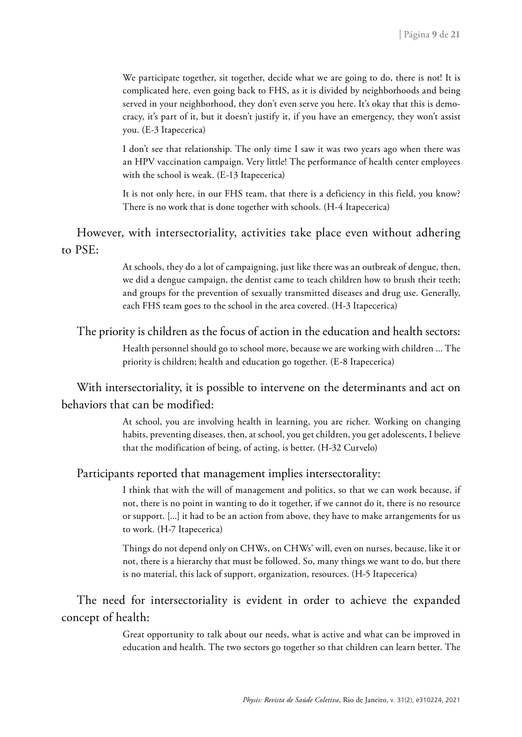We participate together, sit together, decide what we are going to do, there is not! It is complicated here, even going back to FHS, as it is divided by neighborhoods and being served in your neighborhood, they don't even serve you here. It's okay that this is democracy, it's part of it, but it doesn't justify it, if you have an emergency, they won't assist you. (E-3 Itapecerica)

I don't see that relationship. The only time I saw it was two years ago when there was an HPV vaccination campaign. Very little! The performance of health center employees with the school is weak. (E-13 Itapecerica)

It is not only here, in our FHS team, that there is a deficiency in this field, you know? There is no work that is done together with schools. (H-4 Itapecerica)

However, with intersectoriality, activities take place even without adhering to PSE:

> At schools, they do a lot of campaigning, just like there was an outbreak of dengue, then, we did a dengue campaign, the dentist came to teach children how to brush their teeth; and groups for the prevention of sexually transmitted diseases and drug use. Generally, each FHS team goes to the school in the area covered. (H-3 Itapecerica)

The priority is children as the focus of action in the education and health sectors:

Health personnel should go to school more, because we are working with children ... The priority is children; health and education go together. (E-8 Itapecerica)

With intersectoriality, it is possible to intervene on the determinants and act on behaviors that can be modified:

> At school, you are involving health in learning, you are richer. Working on changing habits, preventing diseases, then, at school, you get children, you get adolescents, I believe that the modification of being, of acting, is better. (H-32 Curvelo)

Participants reported that management implies intersectorality:

I think that with the will of management and politics, so that we can work because, if not, there is no point in wanting to do it together, if we cannot do it, there is no resource or support. [...] it had to be an action from above, they have to make arrangements for us to work. (H-7 Itapecerica)

Things do not depend only on CHWs, on CHWs' will, even on nurses, because, like it or not, there is a hierarchy that must be followed. So, many things we want to do, but there is no material, this lack of support, organization, resources. (H-5 Itapecerica)

The need for intersectoriality is evident in order to achieve the expanded concept of health:

> Great opportunity to talk about our needs, what is active and what can be improved in education and health. The two sectors go together so that children can learn better. The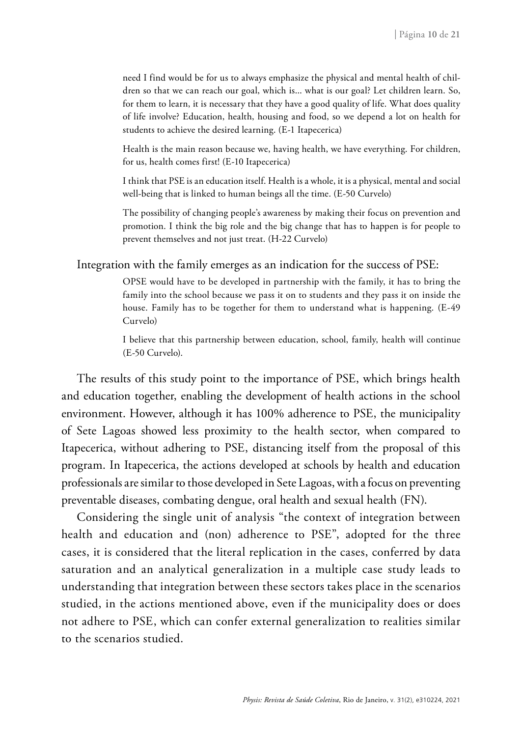need I find would be for us to always emphasize the physical and mental health of children so that we can reach our goal, which is... what is our goal? Let children learn. So, for them to learn, it is necessary that they have a good quality of life. What does quality of life involve? Education, health, housing and food, so we depend a lot on health for students to achieve the desired learning. (E-1 Itapecerica)

Health is the main reason because we, having health, we have everything. For children, for us, health comes first! (E-10 Itapecerica)

I think that PSE is an education itself. Health is a whole, it is a physical, mental and social well-being that is linked to human beings all the time. (E-50 Curvelo)

The possibility of changing people's awareness by making their focus on prevention and promotion. I think the big role and the big change that has to happen is for people to prevent themselves and not just treat. (H-22 Curvelo)

Integration with the family emerges as an indication for the success of PSE:

OPSE would have to be developed in partnership with the family, it has to bring the family into the school because we pass it on to students and they pass it on inside the house. Family has to be together for them to understand what is happening. (E-49 Curvelo)

I believe that this partnership between education, school, family, health will continue (E-50 Curvelo).

The results of this study point to the importance of PSE, which brings health and education together, enabling the development of health actions in the school environment. However, although it has 100% adherence to PSE, the municipality of Sete Lagoas showed less proximity to the health sector, when compared to Itapecerica, without adhering to PSE, distancing itself from the proposal of this program. In Itapecerica, the actions developed at schools by health and education professionals are similar to those developed in Sete Lagoas, with a focus on preventing preventable diseases, combating dengue, oral health and sexual health (FN).

Considering the single unit of analysis "the context of integration between health and education and (non) adherence to PSE", adopted for the three cases, it is considered that the literal replication in the cases, conferred by data saturation and an analytical generalization in a multiple case study leads to understanding that integration between these sectors takes place in the scenarios studied, in the actions mentioned above, even if the municipality does or does not adhere to PSE, which can confer external generalization to realities similar to the scenarios studied.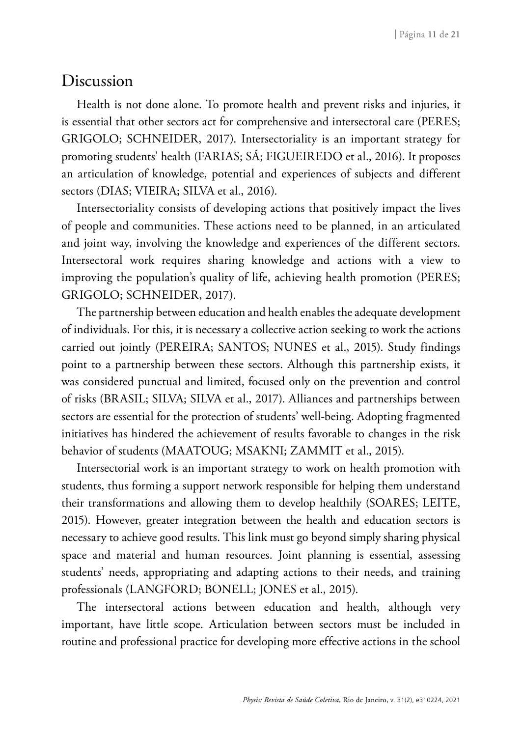#### Discussion

Health is not done alone. To promote health and prevent risks and injuries, it is essential that other sectors act for comprehensive and intersectoral care (PERES; GRIGOLO; SCHNEIDER, 2017). Intersectoriality is an important strategy for promoting students' health (FARIAS; SÁ; FIGUEIREDO et al., 2016). It proposes an articulation of knowledge, potential and experiences of subjects and different sectors (DIAS; VIEIRA; SILVA et al., 2016).

Intersectoriality consists of developing actions that positively impact the lives of people and communities. These actions need to be planned, in an articulated and joint way, involving the knowledge and experiences of the different sectors. Intersectoral work requires sharing knowledge and actions with a view to improving the population's quality of life, achieving health promotion (PERES; GRIGOLO; SCHNEIDER, 2017).

The partnership between education and health enables the adequate development of individuals. For this, it is necessary a collective action seeking to work the actions carried out jointly (PEREIRA; SANTOS; NUNES et al., 2015). Study findings point to a partnership between these sectors. Although this partnership exists, it was considered punctual and limited, focused only on the prevention and control of risks (BRASIL; SILVA; SILVA et al., 2017). Alliances and partnerships between sectors are essential for the protection of students' well-being. Adopting fragmented initiatives has hindered the achievement of results favorable to changes in the risk behavior of students (MAATOUG; MSAKNI; ZAMMIT et al., 2015).

Intersectorial work is an important strategy to work on health promotion with students, thus forming a support network responsible for helping them understand their transformations and allowing them to develop healthily (SOARES; LEITE, 2015). However, greater integration between the health and education sectors is necessary to achieve good results. This link must go beyond simply sharing physical space and material and human resources. Joint planning is essential, assessing students' needs, appropriating and adapting actions to their needs, and training professionals (LANGFORD; BONELL; JONES et al., 2015).

The intersectoral actions between education and health, although very important, have little scope. Articulation between sectors must be included in routine and professional practice for developing more effective actions in the school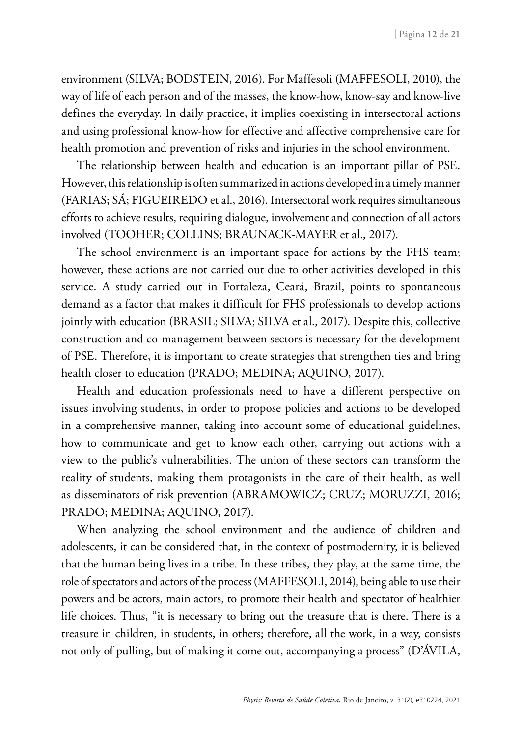environment (SILVA; BODSTEIN, 2016). For Maffesoli (MAFFESOLI, 2010), the way of life of each person and of the masses, the know-how, know-say and know-live defines the everyday. In daily practice, it implies coexisting in intersectoral actions and using professional know-how for effective and affective comprehensive care for health promotion and prevention of risks and injuries in the school environment.

The relationship between health and education is an important pillar of PSE. However, this relationship is often summarized in actions developed in a timely manner (FARIAS; SÁ; FIGUEIREDO et al., 2016). Intersectoral work requires simultaneous efforts to achieve results, requiring dialogue, involvement and connection of all actors involved (TOOHER; COLLINS; BRAUNACK-MAYER et al., 2017).

The school environment is an important space for actions by the FHS team; however, these actions are not carried out due to other activities developed in this service. A study carried out in Fortaleza, Ceará, Brazil, points to spontaneous demand as a factor that makes it difficult for FHS professionals to develop actions jointly with education (BRASIL; SILVA; SILVA et al., 2017). Despite this, collective construction and co-management between sectors is necessary for the development of PSE. Therefore, it is important to create strategies that strengthen ties and bring health closer to education (PRADO; MEDINA; AQUINO, 2017).

Health and education professionals need to have a different perspective on issues involving students, in order to propose policies and actions to be developed in a comprehensive manner, taking into account some of educational guidelines, how to communicate and get to know each other, carrying out actions with a view to the public's vulnerabilities. The union of these sectors can transform the reality of students, making them protagonists in the care of their health, as well as disseminators of risk prevention (ABRAMOWICZ; CRUZ; MORUZZI, 2016; PRADO; MEDINA; AQUINO, 2017).

When analyzing the school environment and the audience of children and adolescents, it can be considered that, in the context of postmodernity, it is believed that the human being lives in a tribe. In these tribes, they play, at the same time, the role of spectators and actors of the process (MAFFESOLI, 2014), being able to use their powers and be actors, main actors, to promote their health and spectator of healthier life choices. Thus, "it is necessary to bring out the treasure that is there. There is a treasure in children, in students, in others; therefore, all the work, in a way, consists not only of pulling, but of making it come out, accompanying a process" (D'ÁVILA,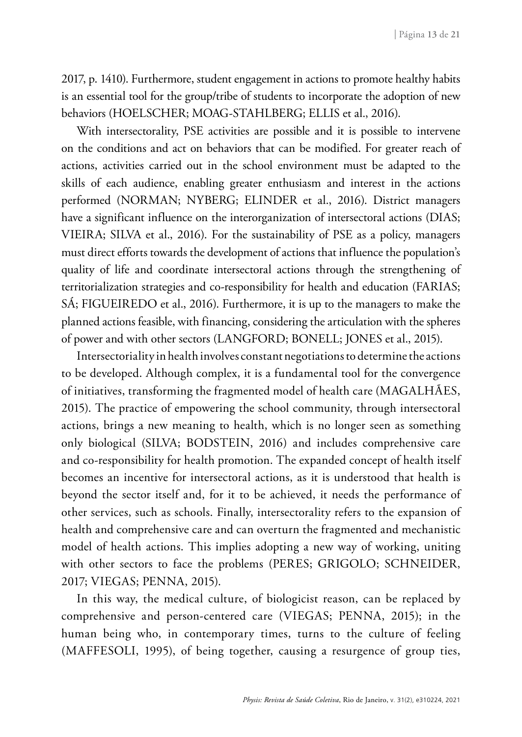2017, p. 1410). Furthermore, student engagement in actions to promote healthy habits is an essential tool for the group/tribe of students to incorporate the adoption of new behaviors (HOELSCHER; MOAG-STAHLBERG; ELLIS et al., 2016).

With intersectorality, PSE activities are possible and it is possible to intervene on the conditions and act on behaviors that can be modified. For greater reach of actions, activities carried out in the school environment must be adapted to the skills of each audience, enabling greater enthusiasm and interest in the actions performed (NORMAN; NYBERG; ELINDER et al., 2016). District managers have a significant influence on the interorganization of intersectoral actions (DIAS; VIEIRA; SILVA et al., 2016). For the sustainability of PSE as a policy, managers must direct efforts towards the development of actions that influence the population's quality of life and coordinate intersectoral actions through the strengthening of territorialization strategies and co-responsibility for health and education (FARIAS; SÁ; FIGUEIREDO et al., 2016). Furthermore, it is up to the managers to make the planned actions feasible, with financing, considering the articulation with the spheres of power and with other sectors (LANGFORD; BONELL; JONES et al., 2015).

Intersectoriality in health involves constant negotiations to determine the actions to be developed. Although complex, it is a fundamental tool for the convergence of initiatives, transforming the fragmented model of health care (MAGALHÃES, 2015). The practice of empowering the school community, through intersectoral actions, brings a new meaning to health, which is no longer seen as something only biological (SILVA; BODSTEIN, 2016) and includes comprehensive care and co-responsibility for health promotion. The expanded concept of health itself becomes an incentive for intersectoral actions, as it is understood that health is beyond the sector itself and, for it to be achieved, it needs the performance of other services, such as schools. Finally, intersectorality refers to the expansion of health and comprehensive care and can overturn the fragmented and mechanistic model of health actions. This implies adopting a new way of working, uniting with other sectors to face the problems (PERES; GRIGOLO; SCHNEIDER, 2017; VIEGAS; PENNA, 2015).

In this way, the medical culture, of biologicist reason, can be replaced by comprehensive and person-centered care (VIEGAS; PENNA, 2015); in the human being who, in contemporary times, turns to the culture of feeling (MAFFESOLI, 1995), of being together, causing a resurgence of group ties,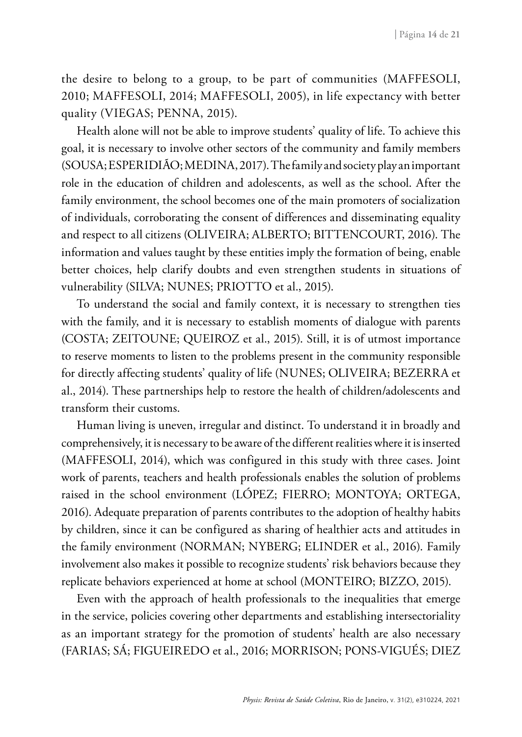the desire to belong to a group, to be part of communities (MAFFESOLI, 2010; MAFFESOLI, 2014; MAFFESOLI, 2005), in life expectancy with better quality (VIEGAS; PENNA, 2015).

Health alone will not be able to improve students' quality of life. To achieve this goal, it is necessary to involve other sectors of the community and family members (SOUSA; ESPERIDIÃO; MEDINA, 2017). The family and society play an important role in the education of children and adolescents, as well as the school. After the family environment, the school becomes one of the main promoters of socialization of individuals, corroborating the consent of differences and disseminating equality and respect to all citizens (OLIVEIRA; ALBERTO; BITTENCOURT, 2016). The information and values taught by these entities imply the formation of being, enable better choices, help clarify doubts and even strengthen students in situations of vulnerability (SILVA; NUNES; PRIOTTO et al., 2015).

To understand the social and family context, it is necessary to strengthen ties with the family, and it is necessary to establish moments of dialogue with parents (COSTA; ZEITOUNE; QUEIROZ et al., 2015). Still, it is of utmost importance to reserve moments to listen to the problems present in the community responsible for directly affecting students' quality of life (NUNES; OLIVEIRA; BEZERRA et al., 2014). These partnerships help to restore the health of children/adolescents and transform their customs.

Human living is uneven, irregular and distinct. To understand it in broadly and comprehensively, it is necessary to be aware of the different realities where it is inserted (MAFFESOLI, 2014), which was configured in this study with three cases. Joint work of parents, teachers and health professionals enables the solution of problems raised in the school environment (LÓPEZ; FIERRO; MONTOYA; ORTEGA, 2016). Adequate preparation of parents contributes to the adoption of healthy habits by children, since it can be configured as sharing of healthier acts and attitudes in the family environment (NORMAN; NYBERG; ELINDER et al., 2016). Family involvement also makes it possible to recognize students' risk behaviors because they replicate behaviors experienced at home at school (MONTEIRO; BIZZO, 2015).

Even with the approach of health professionals to the inequalities that emerge in the service, policies covering other departments and establishing intersectoriality as an important strategy for the promotion of students' health are also necessary (FARIAS; SÁ; FIGUEIREDO et al., 2016; MORRISON; PONS-VIGUÉS; DIEZ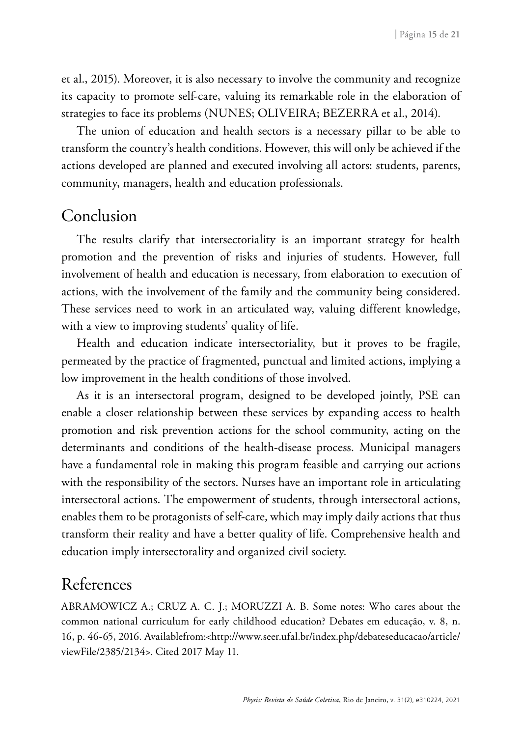et al., 2015). Moreover, it is also necessary to involve the community and recognize its capacity to promote self-care, valuing its remarkable role in the elaboration of strategies to face its problems (NUNES; OLIVEIRA; BEZERRA et al., 2014).

The union of education and health sectors is a necessary pillar to be able to transform the country's health conditions. However, this will only be achieved if the actions developed are planned and executed involving all actors: students, parents, community, managers, health and education professionals.

### Conclusion

The results clarify that intersectoriality is an important strategy for health promotion and the prevention of risks and injuries of students. However, full involvement of health and education is necessary, from elaboration to execution of actions, with the involvement of the family and the community being considered. These services need to work in an articulated way, valuing different knowledge, with a view to improving students' quality of life.

Health and education indicate intersectoriality, but it proves to be fragile, permeated by the practice of fragmented, punctual and limited actions, implying a low improvement in the health conditions of those involved.

As it is an intersectoral program, designed to be developed jointly, PSE can enable a closer relationship between these services by expanding access to health promotion and risk prevention actions for the school community, acting on the determinants and conditions of the health-disease process. Municipal managers have a fundamental role in making this program feasible and carrying out actions with the responsibility of the sectors. Nurses have an important role in articulating intersectoral actions. The empowerment of students, through intersectoral actions, enables them to be protagonists of self-care, which may imply daily actions that thus transform their reality and have a better quality of life. Comprehensive health and education imply intersectorality and organized civil society.

## References

ABRAMOWICZ A.; CRUZ A. C. J.; MORUZZI A. B. Some notes: Who cares about the common national curriculum for early childhood education? Debates em educação, v. 8, n. 16, p. 46-65, 2016. Availablefrom:<http://www.seer.ufal.br/index.php/debateseducacao/article/ viewFile/2385/2134>. Cited 2017 May 11.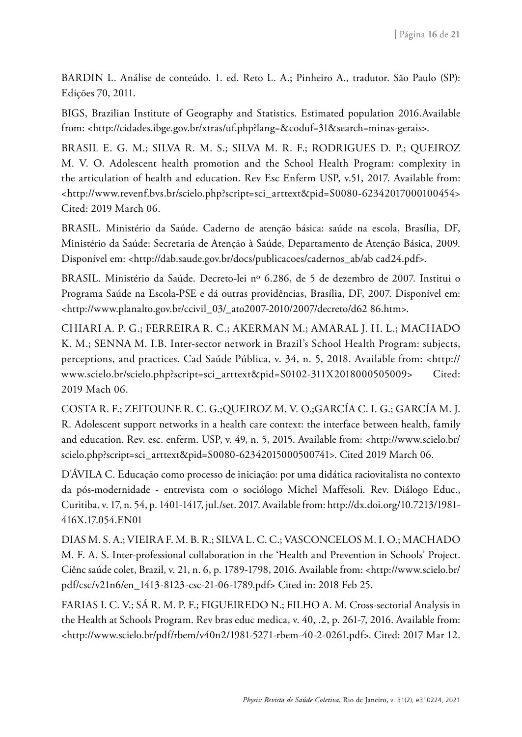BARDIN L. Análise de conteúdo. 1. ed. Reto L. A.; Pinheiro A., tradutor. São Paulo (SP): Edições 70, 2011.

BIGS, Brazilian Institute of Geography and Statistics. Estimated population 2016.Available from: <http://cidades.ibge.gov.br/xtras/uf.php?lang=&coduf=31&search=minas-gerais>.

BRASIL E. G. M.; SILVA R. M. S.; SILVA M. R. F.; RODRIGUES D. P.; QUEIROZ M. V. O. Adolescent health promotion and the School Health Program: complexity in the articulation of health and education. Rev Esc Enferm USP, v.51, 2017. Available from: <http://www.revenf.bvs.br/scielo.php?script=sci\_arttext&pid=S0080-62342017000100454> Cited: 2019 March 06.

BRASIL. Ministério da Saúde. Caderno de atenção básica: saúde na escola, Brasília, DF, Ministério da Saúde: Secretaria de Atenção à Saúde, Departamento de Atenção Básica, 2009. Disponível em: <http://dab.saude.gov.br/docs/publicacoes/cadernos\_ab/ab cad24.pdf>.

BRASIL. Ministério da Saúde. Decreto-lei nº 6.286, de 5 de dezembro de 2007. Institui o Programa Saúde na Escola-PSE e dá outras providências, Brasília, DF, 2007. Disponível em: <http://www.planalto.gov.br/ccivil\_03/\_ato2007-2010/2007/decreto/d62 86.htm>.

CHIARI A. P. G.; FERREIRA R. C.; AKERMAN M.; AMARAL J. H. L.; MACHADO K. M.; SENNA M. I.B. Inter-sector network in Brazil's School Health Program: subjects, perceptions, and practices. Cad Saúde Pública, v. 34, n. 5, 2018. Available from: <http:// www.scielo.br/scielo.php?script=sci\_arttext&pid=S0102-311X2018000505009> Cited: 2019 Mach 06.

COSTA R. F.; ZEITOUNE R. C. G.;QUEIROZ M. V. O.;GARCÍA C. I. G.; GARCÍA M. J. R. Adolescent support networks in a health care context: the interface between health, family and education. Rev. esc. enferm. USP, v. 49, n. 5, 2015. Available from: <http://www.scielo.br/ scielo.php?script=sci\_arttext&pid=S0080-62342015000500741>. Cited 2019 March 06.

D'ÁVILA C. Educação como processo de iniciação: por uma didática raciovitalista no contexto da pós-modernidade - entrevista com o sociólogo Michel Maffesoli. Rev. Diálogo Educ., Curitiba, v. 17, n. 54, p. 1401-1417, jul./set. 2017. Available from: [http://dx.doi.org/10.7213/1981-](http://dx.doi.org/10.7213/1981-416X.17.054.EN01) [416X.17.054.EN01](http://dx.doi.org/10.7213/1981-416X.17.054.EN01)

DIAS M. S. A.; VIEIRA F. M. B. R.; SILVA L. C. C.; VASCONCELOS M. I. O.; MACHADO M. F. A. S. Inter-professional collaboration in the 'Health and Prevention in Schools' Project. Ciênc saúde colet, Brazil, v. 21, n. 6, p. 1789-1798, 2016. Available from: <http://www.scielo.br/ pdf/csc/v21n6/en\_1413-8123-csc-21-06-1789.pdf> Cited in: 2018 Feb 25.

FARIAS I. C. V.; SÁ R. M. P. F.; FIGUEIREDO N.; FILHO A. M. Cross-sectorial Analysis in the Health at Schools Program. Rev bras educ medica, v. 40, .2, p. 261-7, 2016. Available from: <http://www.scielo.br/pdf/rbem/v40n2/1981-5271-rbem-40-2-0261.pdf>. Cited: 2017 Mar 12.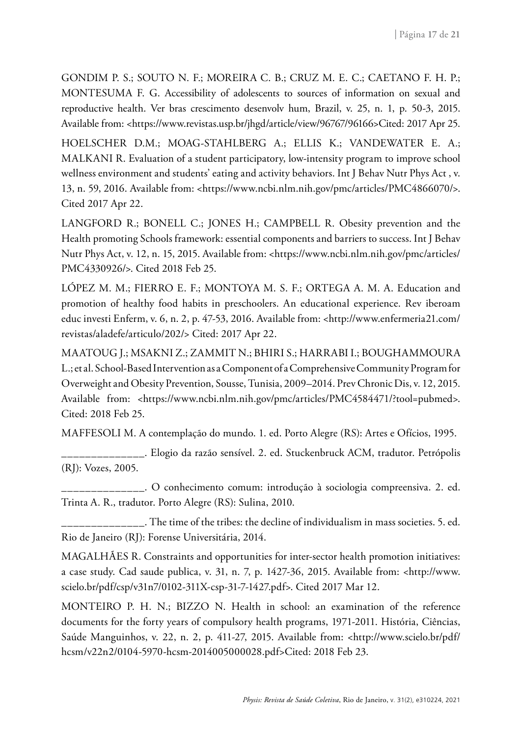GONDIM P. S.; SOUTO N. F.; MOREIRA C. B.; CRUZ M. E. C.; CAETANO F. H. P.; MONTESUMA F. G. Accessibility of adolescents to sources of information on sexual and reproductive health. Ver bras crescimento desenvolv hum, Brazil, v. 25, n. 1, p. 50-3, 2015. Available from: <https://www.revistas.usp.br/jhgd/article/view/96767/96166>Cited: 2017 Apr 25.

HOELSCHER D.M.; MOAG-STAHLBERG A.; ELLIS K.; VANDEWATER E. A.; MALKANI R. Evaluation of a student participatory, low-intensity program to improve school wellness environment and students' eating and activity behaviors. [Int J Behav Nutr Phys Act](https://www.ncbi.nlm.nih.gov/pmc/articles/PMC4866070/) , v. 13, n. 59, 2016. Available from: <https://www.ncbi.nlm.nih.gov/pmc/articles/PMC4866070/>. Cited 2017 Apr 22.

LANGFORD R.; BONELL C.; JONES H.; CAMPBELL R. Obesity prevention and the Health promoting Schools framework: essential components and barriers to success. [Int J Behav](https://www.ncbi.nlm.nih.gov/pmc/articles/PMC4330926/) [Nutr Phys Act](https://www.ncbi.nlm.nih.gov/pmc/articles/PMC4330926/), v. 12, n. 15, 2015. Available from: <[https://www.ncbi.nlm.nih.gov/pmc/articles/](https://www.ncbi.nlm.nih.gov/pmc/articles/PMC4330926/) [PMC4330926/](https://www.ncbi.nlm.nih.gov/pmc/articles/PMC4330926/)>. Cited 2018 Feb 25.

LÓPEZ M. M.; FIERRO E. F.; MONTOYA M. S. F.; ORTEGA A. M. A. Education and promotion of healthy food habits in preschoolers. An educational experience. Rev iberoam educ investi Enferm, v. 6, n. 2, p. 47-53, 2016. Available from: <http://www.enfermeria21.com/ revistas/aladefe/articulo/202/> Cited: 2017 Apr 22.

MAATOUG J.; MSAKNI Z.; ZAMMIT N.; BHIRI S.; HARRABI I.; BOUGHAMMOURA L.; et al. School-Based Intervention as a Component of a Comprehensive Community Program for Overweight and Obesity Prevention, Sousse, Tunisia, 2009–2014. Prev Chronic Dis, v. 12, 2015. Available from: [<https://www.ncbi.nlm.nih.gov/pmc/articles/PMC4584471/?tool=pubmed](https://www.ncbi.nlm.nih.gov/pmc/articles/PMC4584471/?tool=pubmed)>. Cited: 2018 Feb 25.

MAFFESOLI M. A contemplação do mundo. 1. ed. Porto Alegre (RS): Artes e Ofícios, 1995.

\_\_\_\_\_\_\_\_\_\_\_\_\_\_. Elogio da razão sensível. 2. ed. Stuckenbruck ACM, tradutor. Petrópolis (RJ): Vozes, 2005.

\_\_\_\_\_\_\_\_\_\_\_\_\_\_. O conhecimento comum: introdução à sociologia compreensiva. 2. ed. Trinta A. R., tradutor. Porto Alegre (RS): Sulina, 2010.

\_\_\_\_\_\_\_\_\_\_\_\_\_\_. The time of the tribes: the decline of individualism in mass societies. 5. ed. Rio de Janeiro (RJ): Forense Universitária, 2014.

MAGALHÃES R. Constraints and opportunities for inter-sector health promotion initiatives: a case study. Cad saude publica, v. 31, n. 7, p. 1427-36, 2015. Available from: <http://www. scielo.br/pdf/csp/v31n7/0102-311X-csp-31-7-1427.pdf>. Cited 2017 Mar 12.

MONTEIRO P. H. N.; BIZZO N. Health in school: an examination of the reference documents for the forty years of compulsory health programs, 1971-2011. História, Ciências, Saúde Manguinhos, v. 22, n. 2, p. 411-27, 2015. Available from: <http://www.scielo.br/pdf/ hcsm/v22n2/0104-5970-hcsm-2014005000028.pdf>Cited: 2018 Feb 23.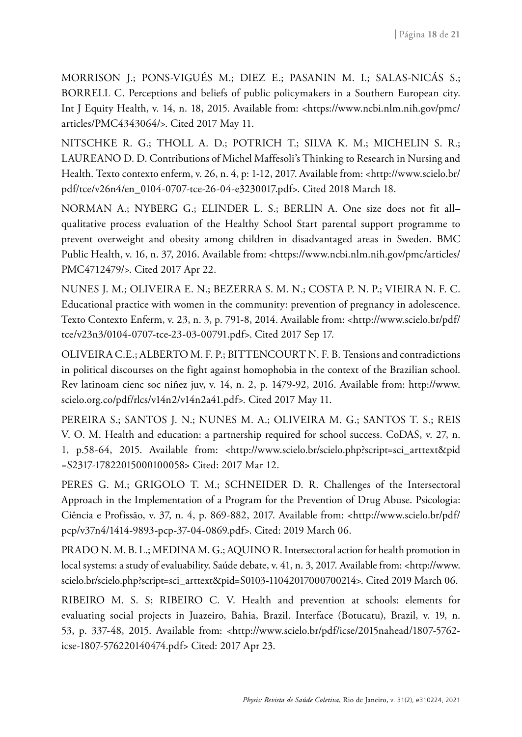MORRISON J.; PONS-VIGUÉS M.; DIEZ E.; PASANIN M. I.; SALAS-NICÁS S.; BORRELL C. Perceptions and beliefs of public policymakers in a Southern European city. [Int J Equity Health,](https://www.google.com.br/url?sa=t&rct=j&q=&esrc=s&source=web&cd=1&cad=rja&uact=8&ved=0ahUKEwj1lOWKhunTAhXJEJAKHQUdDg8QFggsMAA&url=http%3A%2F%2Fequityhealthj.biomedcentral.com%2F&usg=AFQjCNHmFhwWwYr_JmCw0dST1in0PeILkA&sig2=_jRapad2HrtVRe49iYLiuQ) v. 14, n. 18, 2015. Available from: <https://www.ncbi.nlm.nih.gov/pmc/ articles/PMC4343064/>. Cited 2017 May 11.

NITSCHKE R. G.; THOLL A. D.; POTRICH T.; SILVA K. M.; MICHELIN S. R.; LAUREANO D. D. Contributions of Michel Maffesoli's Thinking to Research in Nursing and Health. Texto contexto enferm, v. 26, n. 4, p: 1-12, 2017. Available from: [<http://www.scielo.br/](http://www.scielo.br/pdf/tce/v26n4/en_0104-0707-tce-26-04-e3230017.pdf) [pdf/tce/v26n4/en\\_0104-0707-tce-26-04-e3230017.pdf](http://www.scielo.br/pdf/tce/v26n4/en_0104-0707-tce-26-04-e3230017.pdf)>. Cited 2018 March 18.

NORMAN A.; NYBERG G.; ELINDER L. S.; BERLIN A. [One size does not fit all–](https://www.ncbi.nlm.nih.gov/pmc/articles/PMC4712479/) [qualitative process evaluation of the Healthy School Start parental support programme to](https://www.ncbi.nlm.nih.gov/pmc/articles/PMC4712479/) [prevent overweight and obesity among children in disadvantaged areas in Sweden](https://www.ncbi.nlm.nih.gov/pmc/articles/PMC4712479/). BMC Public Health, v. 16, n. 37, 2016. Available from: <https://www.ncbi.nlm.nih.gov/pmc/articles/ PMC4712479/>. Cited 2017 Apr 22.

NUNES J. M.; OLIVEIRA E. N.; BEZERRA S. M. N.; COSTA P. N. P.; VIEIRA N. F. C. Educational practice with women in the community: prevention of pregnancy in adolescence. Texto Contexto Enferm, v. 23, n. 3, p. 791-8, 2014. Available from: <http://www.scielo.br/pdf/ tce/v23n3/0104-0707-tce-23-03-00791.pdf>. Cited 2017 Sep 17.

OLIVEIRA C.E.; ALBERTO M. F. P.; BITTENCOURT N. F. B. Tensions and contradictions in political discourses on the fight against homophobia in the context of the Brazilian school. Rev latinoam cienc soc niñez juv, v. 14, n. 2, p. 1479-92, 2016. Available from: http://www. scielo.org.co/pdf/rlcs/v14n2/v14n2a41.pdf>. Cited 2017 May 11.

PEREIRA S.; SANTOS J. N.; NUNES M. A.; OLIVEIRA M. G.; SANTOS T. S.; REIS V. O. M. Health and education: a partnership required for school success. CoDAS, v. 27, n. 1, p.58-64, 2015. Available from: <http://www.scielo.br/scielo.php?script=sci\_arttext&pid =S2317-17822015000100058> Cited: 2017 Mar 12.

PERES G. M.; GRIGOLO T. M.; SCHNEIDER D. R. Challenges of the Intersectoral Approach in the Implementation of a Program for the Prevention of Drug Abuse. Psicologia: Ciência e Profissão, v. 37, n. 4, p. 869-882, 2017. Available from: <http://www.scielo.br/pdf/ pcp/v37n4/1414-9893-pcp-37-04-0869.pdf>. Cited: 2019 March 06.

PRADO N. M. B. L.; MEDINA M. G.; AQUINO R. Intersectoral action for health promotion in local systems: a study of evaluability. Saúde debate, v. 41, n. 3, 2017. Available from: [<http://www.](http://www.scielo.br/scielo.php?script=sci) [scielo.br/scielo.php?script=sci\\_](http://www.scielo.br/scielo.php?script=sci)arttext&pid=S0103-11042017000700214>. Cited 2019 March 06.

RIBEIRO M. S. S; RIBEIRO C. V. Health and prevention at schools: elements for evaluating social projects in Juazeiro, Bahia, Brazil. Interface (Botucatu), Brazil, v. 19, n. 53, p. 337-48, 2015. Available from: <http://www.scielo.br/pdf/icse/2015nahead/1807-5762 icse-1807-576220140474.pdf> Cited: 2017 Apr 23.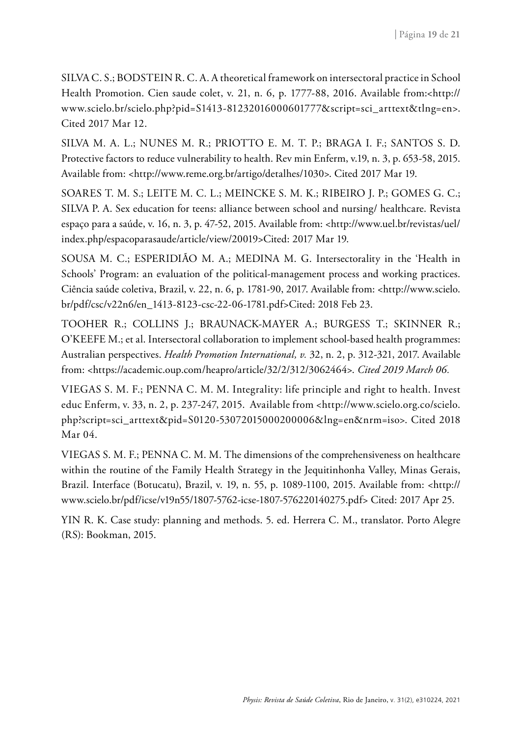SILVA C. S.; BODSTEIN R. C. A. A theoretical framework on intersectoral practice in School Health Promotion. Cien saude colet, v. 21, n. 6, p. 1777-88, 2016. Available from:<http:// www.scielo.br/scielo.php?pid=S1413-81232016000601777&script=sci\_arttext&tlng=en>. Cited 2017 Mar 12.

SILVA M. A. L.; NUNES M. R.; PRIOTTO E. M. T. P.; BRAGA I. F.; SANTOS S. D. Protective factors to reduce vulnerability to health. Rev min Enferm, v.19, n. 3, p. 653-58, 2015. Available from: <http://www.reme.org.br/artigo/detalhes/1030>. Cited 2017 Mar 19.

SOARES T. M. S.; LEITE M. C. L.; MEINCKE S. M. K.; RIBEIRO J. P.; GOMES G. C.; SILVA P. A. Sex education for teens: alliance between school and nursing/ healthcare. Revista espaço para a saúde, v. 16, n. 3, p. 47-52, 2015. Available from: <http://www.uel.br/revistas/uel/ index.php/espacoparasaude/article/view/20019>Cited: 2017 Mar 19.

SOUSA M. C.; ESPERIDIÃO M. A.; MEDINA M. G. Intersectorality in the 'Health in Schools' Program: an evaluation of the political-management process and working practices. Ciência saúde coletiva, Brazil, v. 22, n. 6, p. 1781-90, 2017. Available from: <http://www.scielo. br/pdf/csc/v22n6/en\_1413-8123-csc-22-06-1781.pdf>Cited: 2018 Feb 23.

TOOHER R.; COLLINS J.; BRAUNACK-MAYER A.; BURGESS T.; SKINNER R.; O'KEEFE M.; et al. Intersectoral collaboration to implement school-based health programmes: Australian perspectives. *Health Promotion International, v.* 32, n. 2, p. 312-321, 2017. Available from: <https://academic.oup.com/heapro/article/32/2/312/3062464>. *Cited 2019 March 06.* 

VIEGAS S. M. F.; PENNA C. M. M. Integrality: life principle and right to health. Invest educ Enferm, v. 33, n. 2, p. 237-247, 2015. Available from <http://www.scielo.org.co/scielo. php?script=sci\_arttext&pid=S0120-53072015000200006&lng=en&nrm=iso>. Cited 2018 Mar 04.

VIEGAS S. M. F.; PENNA C. M. M. The dimensions of the comprehensiveness on healthcare within the routine of the Family Health Strategy in the Jequitinhonha Valley, Minas Gerais, Brazil. Interface (Botucatu), Brazil, v. 19, n. 55, p. 1089-1100, 2015. Available from: <http:// www.scielo.br/pdf/icse/v19n55/1807-5762-icse-1807-576220140275.pdf> Cited: 2017 Apr 25.

YIN R. K. Case study: planning and methods. 5. ed. Herrera C. M., translator. Porto Alegre (RS): Bookman, 2015.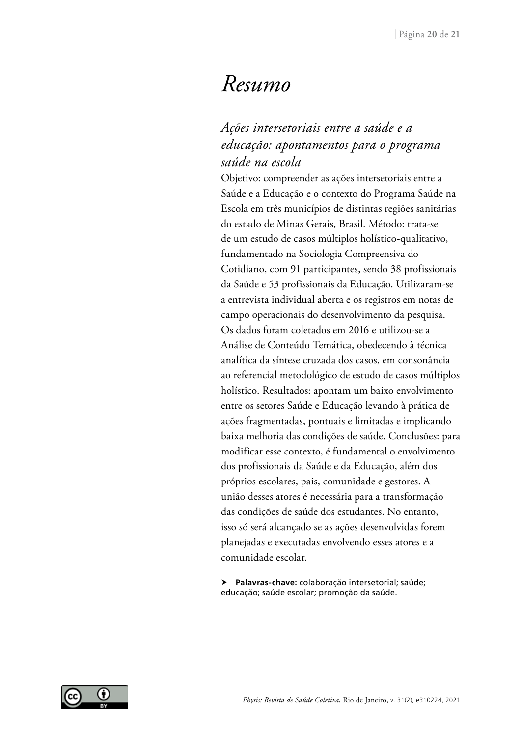## *Resumo*

### *Ações intersetoriais entre a saúde e a educação: apontamentos para o programa saúde na escola*

Objetivo: compreender as ações intersetoriais entre a Saúde e a Educação e o contexto do Programa Saúde na Escola em três municípios de distintas regiões sanitárias do estado de Minas Gerais, Brasil. Método: trata-se de um estudo de casos múltiplos holístico-qualitativo, fundamentado na Sociologia Compreensiva do Cotidiano, com 91 participantes, sendo 38 profissionais da Saúde e 53 profissionais da Educação. Utilizaram-se a entrevista individual aberta e os registros em notas de campo operacionais do desenvolvimento da pesquisa. Os dados foram coletados em 2016 e utilizou-se a Análise de Conteúdo Temática, obedecendo à técnica analítica da síntese cruzada dos casos, em consonância ao referencial metodológico de estudo de casos múltiplos holístico. Resultados: apontam um baixo envolvimento entre os setores Saúde e Educação levando à prática de ações fragmentadas, pontuais e limitadas e implicando baixa melhoria das condições de saúde. Conclusões: para modificar esse contexto, é fundamental o envolvimento dos profissionais da Saúde e da Educação, além dos próprios escolares, pais, comunidade e gestores. A união desses atores é necessária para a transformação das condições de saúde dos estudantes. No entanto, isso só será alcançado se as ações desenvolvidas forem planejadas e executadas envolvendo esses atores e a comunidade escolar.

 **Palavras-chave:** colaboração intersetorial; saúde; educação; saúde escolar; promoção da saúde.